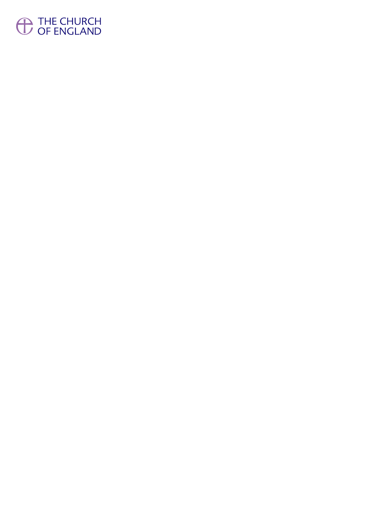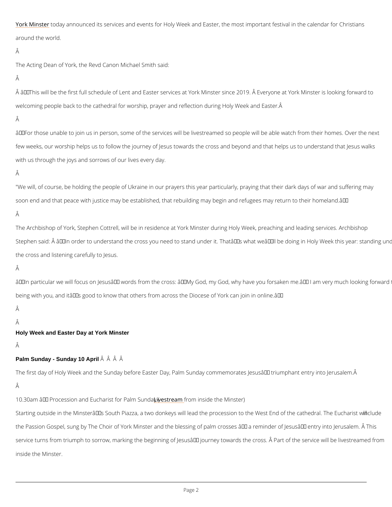[York Min](https://yorkminster.org/)stbedray announced its services and events for Holy Week and Easter, the most import around the world.

### Â

The Acting Dean of York, the Revd Canon Michael Smith said:

## Â

 $\hat{\mathsf{A}}$  â $\bm{\epsilon}$ œThis will be the first full schedule of Lent and Easter services at York Minster since 2 welcoming people back to the cathedral for worship, prayer and reflection during Holy Week

# Â

 $\hat{a} \in \infty$  For those unable to join us in person, some of the services will be livestreamed so peop few weeks, our worship helps us to follow the journey of Jesus towards the cross and beyond with us through the joys and sorrows of our lives every day.

# Â

"We will, of course, be holding the people of Ukraine in our prayers this year particularly, pi soon end and that peace with justice may be established, that rebuilding may begin and refug Â

The Archbishop of York, Stephen Cottrell, will be in residence at York Minster during Holy W Stephen said:  $\rm \AA$  "ln order to understand the cross you need to stand under it. That's v the cross and listening carefully to Jesus.

# Â

"ln particular we will focus on Jesus' words from the cross: "My God, my God, why being with you, and it's good to know that others from across the Diocese of York can joi Â

### Â

service turns from triumph to sorrow, marking the beginning of Jesusâ $\in$ <sup>TM</sup> journey towards the inside the Minster.

Holy Week and Easter Day at York Minster

### Â

Palm Sunday - Sunday 10 April  $\hat{A}$   $\hat{A}$   $\hat{A}$   $\hat{A}$ 

The first day of Holy Week and the Sunday before Easter Day, Palm Sunday commemorates Je

10.30am – Procession and EuchaLriivset sftor efaPonamhminSsuionled atyhe( Minster)

Starting outside in the Minsterâ $\epsilon$ <sup>TM</sup>s South Piazza, a two donkeys will lead the processinocn utobe

the Passion Gospel, sung by The Choir of York Minster and the blessing of palm crosses  $\hat{a} \in H$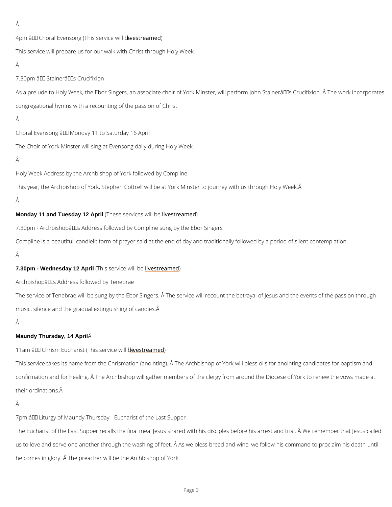```
Â
4pm – Choral Evensong (This steena) incedwill be
This service will prepare us for our walk with Christ through Holy Week.
Â
7.30pm – Stainer's Crucifixion
As a prelude to Holy Week, the Ebor Singers, an associate choir of York Minster, will perform
congregational hymns with a recounting of the passion of Christ.
Â
Choral Evensong \hat{a} \in Monday 11 to Saturday 16 April
The Choir of York Minster will sing at Evensong daily during Holy Week.
Â
Holy Week Address by the Archbishop of York followed by Compline
This year, the Archbishop of York, Stephen Cottrell will be at York Minster to journey with us
Â
Monday 11 and Tuesday 12 April (These service is exact tebagined
7.30pm – Archbishop's Address followed by Compline sung by the Ebor Singers
Compline is a beautiful, candlelit form of prayer said at the end of day and traditionally follo
Â
7.30pm - Wednesday 12 April (This)s ervicei weistreamed
Archbishop's Address followed by Tenebrae
The service of Tenebrae will be sung by the Ebor Singers. Å The service will recount the bet
music, silence and the gradual extinguishing of candles. 
Â
Maundy Thursday, 14 April \hat{A}11am â\epsilon" Chrism Eucharist (Tiniesstsreen) minesed will be
This service takes its name from the Chrismation (anointing). \hat{\mathsf{A}} The Archbishop of York will
```
confirmation and for healing. Å The Archbishop will gather members of the clergy from aroun

their ordinations.

Â

 $7$ pm â $\epsilon$ " Liturgy of Maundy Thursday - Eucharist of the Last Supper

The Eucharist of the Last Supper recalls the final meal Jesus shared with his disciplescate food

us to love and serve one another through the washing of feet. Â As we bless bread and wine,

he comes in glory. Â The preacher will be the Archbishop of York.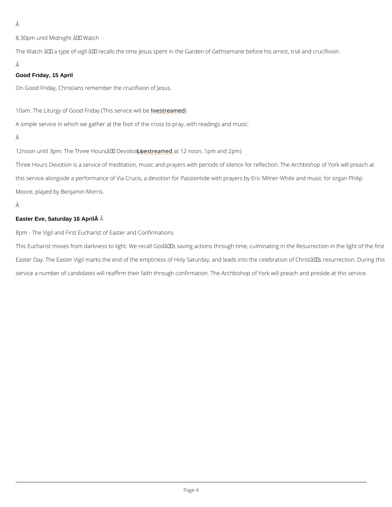Â

8.30pm until Midnight  $\hat{a} \in H^*$  Watch

The Watch  $\hat{a} \in$ " a type of vigil  $\hat{a} \in$ " recalls the time Jesus spent in the Garden of Gethsemane Â

A simple service in which we gather at the foot of the cross to pray, with readings and music. Â

12noon until 3pm: The Three Houress for an theodive both ( 1pm and 2pm)

Good Friday, 15 April

On Good Friday, Christians remember the crucifixion of Jesus.

10am: The Liturgy of Good Friday li Tension and de will be

Three Hours Devotion is a service of meditation, music and prayers with periods of silence for this service alongside a performance of Via Crucis, a devotion for Passiontide with prayers b Moore, played by Benjamin Morris.

```
Â
```
Easter Eve, Saturday 16 April Â

8pm - The Vigil and First Eucharist of Easter and Confirmations

This Eucharist moves from darkness to light. We recall Godâ $\epsilon$ ™s saving actions through time Easter Day. The Easter Vigil marks the end of the emptiness of Holy Saturday, and leads into service a number of candidates will reaffirm their faith through confirmation. The Archbishop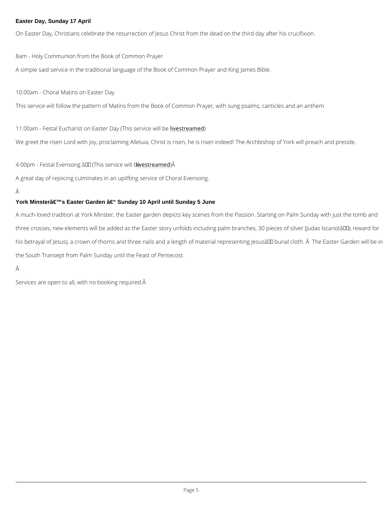#### Easter Day, Sunday 17 April

On Easter Day, Christians celebrate the resurrection of Jesus Christ from the dead on the th

8am - Holy Communion from the Book of Common Prayer A simple said service in the traditional language of the Book of Common Prayer and King Jan

10.00am - Choral Matins on Easter Day This service will follow the pattern of Matins from the Book of Common Prayer, with sung psa

11.00am - Festal Eucharist on Easter Diaves (Treamed vice will be

We greet the risen Lord with joy, proclaiming Alleluia, Christ is risen, he is risen indeed! Th

4.00pm - Festal Evensong –<u>li(vTehsisresae</u>)mÂvei**d**e will be

A much-loved tradition at York Minster, the Easter garden depicts key scenes from the Passi three crosses, new elements will be added as the Easter story unfolds including palm branch his betrayal of Jesus), a crown of thorns and three nails and a length of material representir the South Transept from Palm Sunday until the Feast of Pentecost.

### Â

A great day of rejoicing culminates in an uplifting service of Choral Evensong.

#### Â

York Minster's Easter Garden – Sunday 10 April until Sunday 5 June

Services are open to all, with no booking required.